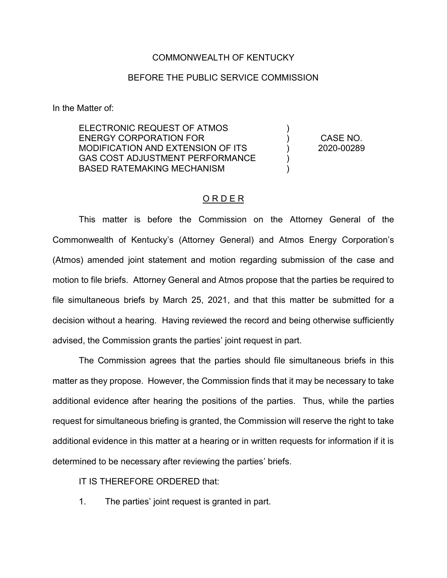## COMMONWEALTH OF KENTUCKY

## BEFORE THE PUBLIC SERVICE COMMISSION

In the Matter of:

ELECTRONIC REQUEST OF ATMOS ENERGY CORPORATION FOR MODIFICATION AND EXTENSION OF ITS GAS COST ADJUSTMENT PERFORMANCE BASED RATEMAKING MECHANISM ) ) ) ) ) CASE NO. 2020-00289

## O R D E R

This matter is before the Commission on the Attorney General of the Commonwealth of Kentucky's (Attorney General) and Atmos Energy Corporation's (Atmos) amended joint statement and motion regarding submission of the case and motion to file briefs. Attorney General and Atmos propose that the parties be required to file simultaneous briefs by March 25, 2021, and that this matter be submitted for a decision without a hearing. Having reviewed the record and being otherwise sufficiently advised, the Commission grants the parties' joint request in part.

The Commission agrees that the parties should file simultaneous briefs in this matter as they propose. However, the Commission finds that it may be necessary to take additional evidence after hearing the positions of the parties. Thus, while the parties request for simultaneous briefing is granted, the Commission will reserve the right to take additional evidence in this matter at a hearing or in written requests for information if it is determined to be necessary after reviewing the parties' briefs.

IT IS THEREFORE ORDERED that:

1. The parties' joint request is granted in part.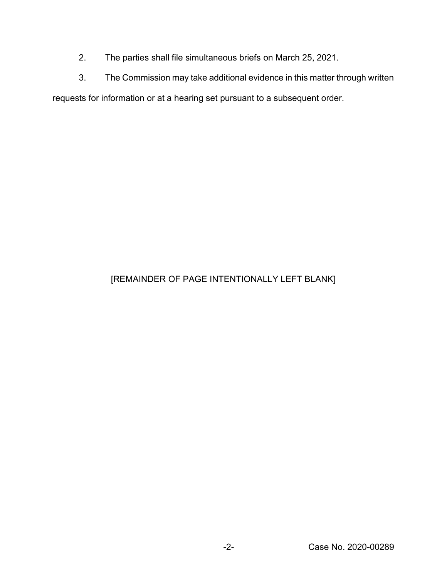- 2. The parties shall file simultaneous briefs on March 25, 2021.
- 3. The Commission may take additional evidence in this matter through written

requests for information or at a hearing set pursuant to a subsequent order.

## [REMAINDER OF PAGE INTENTIONALLY LEFT BLANK]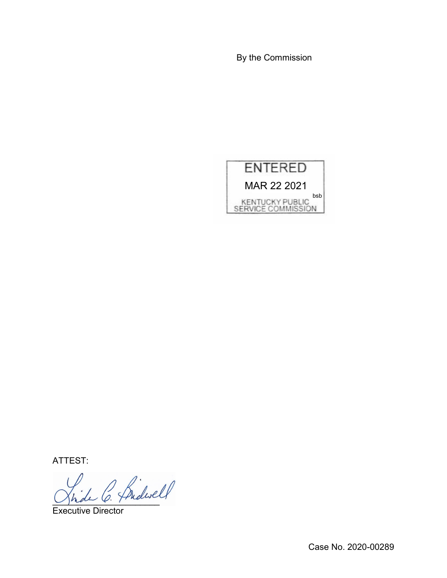By the Commission



ATTEST:

Jhde C. Freue

Executive Director

Case No. 2020-00289